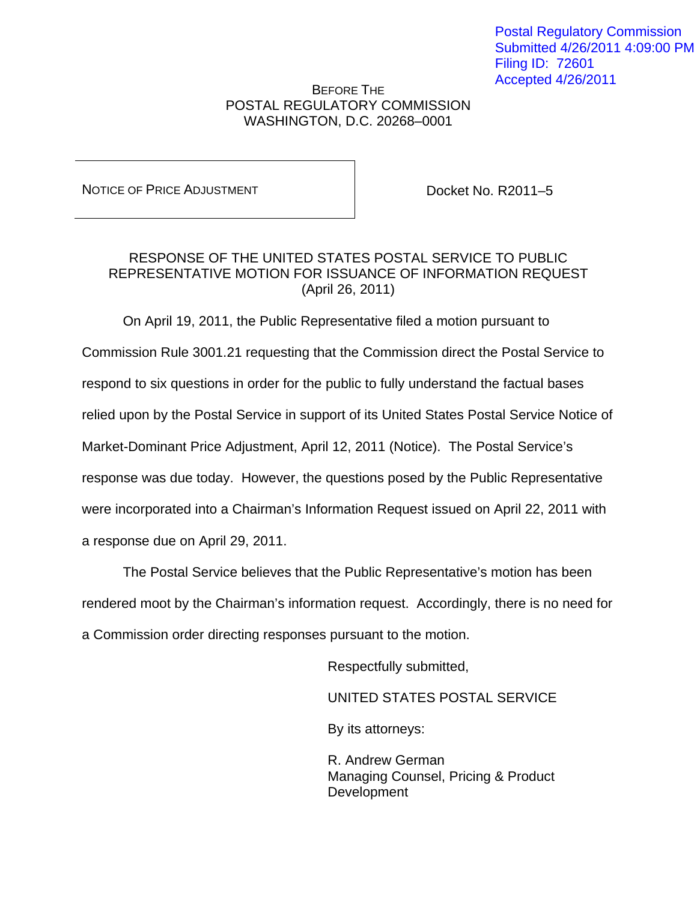## BEFORE THE POSTAL REGULATORY COMMISSION WASHINGTON, D.C. 20268–0001

NOTICE OF PRICE ADJUSTMENT **DOCKET NO. R2011-5** 

## RESPONSE OF THE UNITED STATES POSTAL SERVICE TO PUBLIC REPRESENTATIVE MOTION FOR ISSUANCE OF INFORMATION REQUEST (April 26, 2011)

 On April 19, 2011, the Public Representative filed a motion pursuant to Commission Rule 3001.21 requesting that the Commission direct the Postal Service to respond to six questions in order for the public to fully understand the factual bases relied upon by the Postal Service in support of its United States Postal Service Notice of Market-Dominant Price Adjustment, April 12, 2011 (Notice). The Postal Service's response was due today. However, the questions posed by the Public Representative were incorporated into a Chairman's Information Request issued on April 22, 2011 with a response due on April 29, 2011.

 The Postal Service believes that the Public Representative's motion has been rendered moot by the Chairman's information request. Accordingly, there is no need for a Commission order directing responses pursuant to the motion.

Respectfully submitted,

UNITED STATES POSTAL SERVICE

By its attorneys:

 R. Andrew German Managing Counsel, Pricing & Product Development